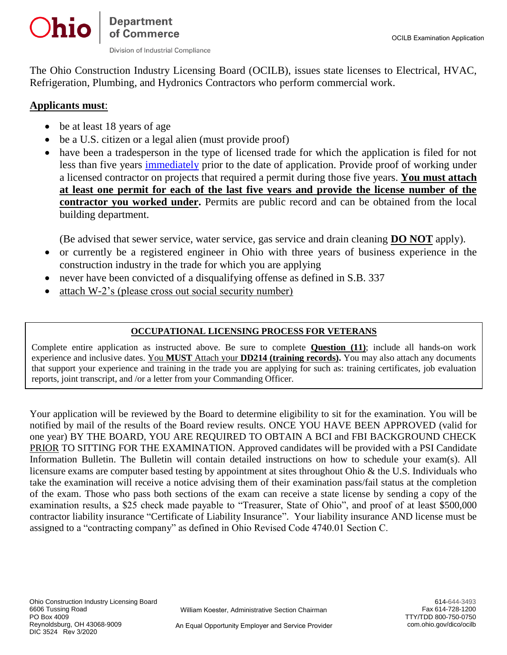Division of Industrial Compliance

Departmen<mark>t</mark><br>of Commerce

The Ohio Construction Industry Licensing Board (OCILB), issues state licenses to Electrical, HVAC, Refrigeration, Plumbing, and Hydronics Contractors who perform commercial work.

# **Applicants must**:

Ohio

- be at least 18 years of age
- be a U.S. citizen or a legal alien (must provide proof)
- have been a tradesperson in the type of licensed trade for which the application is filed for not less than five years [immediately](file:///C:/Documents%20and%20Settings/twomax/letterhead/OH%20NEW%20LICENSE%20APPLICATION%20(3526)%2009-22-2009) prior to the date of application. Provide proof of working under a licensed contractor on projects that required a permit during those five years. **You must attach at least one permit for each of the last five years and provide the license number of the contractor you worked under.** Permits are public record and can be obtained from the local building department.

(Be advised that sewer service, water service, gas service and drain cleaning **DO NOT** apply).

- or currently be a registered engineer in Ohio with three years of business experience in the construction industry in the trade for which you are applying
- never have been convicted of a disqualifying offense as defined in S.B. 337
- attach W-2's (please cross out social security number)

## **OCCUPATIONAL LICENSING PROCESS FOR VETERANS**

Complete entire application as instructed above. Be sure to complete **Question (11)**; include all hands-on work experience and inclusive dates. You **MUST** Attach your **DD214 (training records).** You may also attach any documents that support your experience and training in the trade you are applying for such as: training certificates, job evaluation reports, joint transcript, and /or a letter from your Commanding Officer.

Your application will be reviewed by the Board to determine eligibility to sit for the examination. You will be notified by mail of the results of the Board review results. ONCE YOU HAVE BEEN APPROVED (valid for one year) BY THE BOARD, YOU ARE REQUIRED TO OBTAIN A BCI and FBI BACKGROUND CHECK PRIOR TO SITTING FOR THE EXAMINATION. Approved candidates will be provided with a PSI Candidate Information Bulletin. The Bulletin will contain detailed instructions on how to schedule your exam(s). All licensure exams are computer based testing by appointment at sites throughout Ohio & the U.S. Individuals who take the examination will receive a notice advising them of their examination pass/fail status at the completion of the exam. Those who pass both sections of the exam can receive a state license by sending a copy of the examination results, a \$25 check made payable to "Treasurer, State of Ohio", and proof of at least \$500,000 contractor liability insurance "Certificate of Liability Insurance". Your liability insurance AND license must be assigned to a "contracting company" as defined in Ohio Revised Code 4740.01 Section C.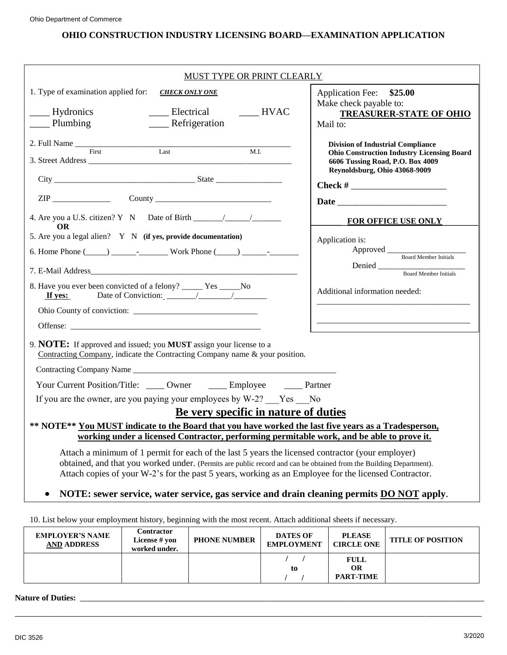## **OHIO CONSTRUCTION INDUSTRY LICENSING BOARD—EXAMINATION APPLICATION**

| MUST TYPE OR PRINT CLEARLY                                                                                                                                                                                                                                                                                                       |                                                                                                                                                                                                                                                                                                                                                        |  |  |  |  |
|----------------------------------------------------------------------------------------------------------------------------------------------------------------------------------------------------------------------------------------------------------------------------------------------------------------------------------|--------------------------------------------------------------------------------------------------------------------------------------------------------------------------------------------------------------------------------------------------------------------------------------------------------------------------------------------------------|--|--|--|--|
| 1. Type of examination applied for: CHECK ONLY ONE                                                                                                                                                                                                                                                                               | Application Fee: \$25.00                                                                                                                                                                                                                                                                                                                               |  |  |  |  |
| Hydronics<br>___ Electrical<br>$\qquad \qquad$ HVAC<br>$\frac{1}{2}$ Plumbing<br>_____ Refrigeration                                                                                                                                                                                                                             | Make check payable to:<br><b>TREASURER-STATE OF OHIO</b><br>Mail to:                                                                                                                                                                                                                                                                                   |  |  |  |  |
| M.I.                                                                                                                                                                                                                                                                                                                             | <b>Division of Industrial Compliance</b><br><b>Ohio Construction Industry Licensing Board</b><br>6606 Tussing Road, P.O. Box 4009                                                                                                                                                                                                                      |  |  |  |  |
|                                                                                                                                                                                                                                                                                                                                  | Reynoldsburg, Ohio 43068-9009<br>Check # $\frac{1}{2}$ $\frac{1}{2}$ $\frac{1}{2}$ $\frac{1}{2}$ $\frac{1}{2}$ $\frac{1}{2}$ $\frac{1}{2}$ $\frac{1}{2}$ $\frac{1}{2}$ $\frac{1}{2}$ $\frac{1}{2}$ $\frac{1}{2}$ $\frac{1}{2}$ $\frac{1}{2}$ $\frac{1}{2}$ $\frac{1}{2}$ $\frac{1}{2}$ $\frac{1}{2}$ $\frac{1}{2}$ $\frac{1}{2}$ $\frac{1}{2}$ $\frac$ |  |  |  |  |
|                                                                                                                                                                                                                                                                                                                                  |                                                                                                                                                                                                                                                                                                                                                        |  |  |  |  |
| 4. Are you a U.S. citizen? Y N Date of Birth $\frac{1}{\sqrt{2}}$<br>OR.                                                                                                                                                                                                                                                         | FOR OFFICE USE ONLY                                                                                                                                                                                                                                                                                                                                    |  |  |  |  |
| 5. Are you a legal alien? Y N (if yes, provide documentation)<br>6. Home Phone $(\_\_\_\_\_\_\_$ - $\_\_\_\_$ Work Phone $(\_\_\_\_\_\_\_$                                                                                                                                                                                       | Application is:<br>Approved Board Member Initials                                                                                                                                                                                                                                                                                                      |  |  |  |  |
|                                                                                                                                                                                                                                                                                                                                  | Denied<br><b>Board Member Initials</b>                                                                                                                                                                                                                                                                                                                 |  |  |  |  |
| 8. Have you ever been convicted of a felony? _____ Yes _____No<br>If yes:                                                                                                                                                                                                                                                        | Additional information needed:                                                                                                                                                                                                                                                                                                                         |  |  |  |  |
| Ohio County of conviction:                                                                                                                                                                                                                                                                                                       |                                                                                                                                                                                                                                                                                                                                                        |  |  |  |  |
|                                                                                                                                                                                                                                                                                                                                  | <u> 1980 - Johann Stoff, deutscher Stoff, der Stoff, der Stoff, der Stoff, der Stoff, der Stoff, der Stoff, der S</u>                                                                                                                                                                                                                                  |  |  |  |  |
| 9. NOTE: If approved and issued; you MUST assign your license to a<br>Contracting Company, indicate the Contracting Company name & your position.                                                                                                                                                                                |                                                                                                                                                                                                                                                                                                                                                        |  |  |  |  |
|                                                                                                                                                                                                                                                                                                                                  |                                                                                                                                                                                                                                                                                                                                                        |  |  |  |  |
| Your Current Position/Title: _____ Owner ______ Employee ______ Partner                                                                                                                                                                                                                                                          |                                                                                                                                                                                                                                                                                                                                                        |  |  |  |  |
| If you are the owner, are you paying your employees by W-2? Yes No                                                                                                                                                                                                                                                               |                                                                                                                                                                                                                                                                                                                                                        |  |  |  |  |
| Be very specific in nature of duties<br>** NOTE** You MUST indicate to the Board that you have worked the last five years as a Tradesperson,                                                                                                                                                                                     |                                                                                                                                                                                                                                                                                                                                                        |  |  |  |  |
| working under a licensed Contractor, performing permitable work, and be able to prove it.                                                                                                                                                                                                                                        |                                                                                                                                                                                                                                                                                                                                                        |  |  |  |  |
| Attach a minimum of 1 permit for each of the last 5 years the licensed contractor (your employer)<br>obtained, and that you worked under. (Permits are public record and can be obtained from the Building Department).<br>Attach copies of your W-2's for the past 5 years, working as an Employee for the licensed Contractor. |                                                                                                                                                                                                                                                                                                                                                        |  |  |  |  |
| NOTE: sewer service, water service, gas service and drain cleaning permits <b>DO NOT</b> apply.<br>$\bullet$                                                                                                                                                                                                                     |                                                                                                                                                                                                                                                                                                                                                        |  |  |  |  |

10. List below your employment history, beginning with the most recent. Attach additional sheets if necessary.

| <b>EMPLOYER'S NAME</b><br><b>AND ADDRESS</b> | Contractor<br>License # you<br>worked under. | <b>PHONE NUMBER</b> | <b>DATES OF</b><br><b>EMPLOYMENT</b> | <b>PLEASE</b><br><b>CIRCLE ONE</b>           | <b>TITLE OF POSITION</b> |
|----------------------------------------------|----------------------------------------------|---------------------|--------------------------------------|----------------------------------------------|--------------------------|
|                                              |                                              |                     | to                                   | <b>FULL</b><br><b>OR</b><br><b>PART-TIME</b> |                          |

**\_\_\_\_\_\_\_\_\_\_\_\_\_\_\_\_\_\_\_\_\_\_\_\_\_\_\_\_\_\_\_\_\_\_\_\_\_\_\_\_\_\_\_\_\_\_\_\_\_\_\_\_\_\_\_\_\_\_\_\_\_\_\_\_\_\_\_\_\_\_\_\_\_\_\_\_\_\_\_\_\_\_\_\_\_\_\_\_\_\_\_\_\_\_\_\_\_\_\_\_\_\_\_\_\_\_\_\_\_\_\_\_\_\_\_\_\_\_\_\_\_\_\_\_\_\_\_\_\_\_\_\_\_\_\_\_\_\_\_\_\_**

# **Nature of Duties: \_\_\_\_\_\_\_\_\_\_\_\_\_\_\_\_\_\_\_\_\_\_\_\_\_\_\_\_\_\_\_\_\_\_\_\_\_\_\_\_\_\_\_\_\_\_\_\_\_\_\_\_\_\_\_\_\_\_\_\_\_\_\_\_\_\_\_\_\_\_\_\_\_\_\_\_\_\_\_\_\_\_\_\_\_\_\_\_\_\_\_\_\_\_\_\_\_\_\_\_\_\_\_\_\_\_\_\_\_\_\_\_\_\_\_\_\_\_\_\_\_\_**